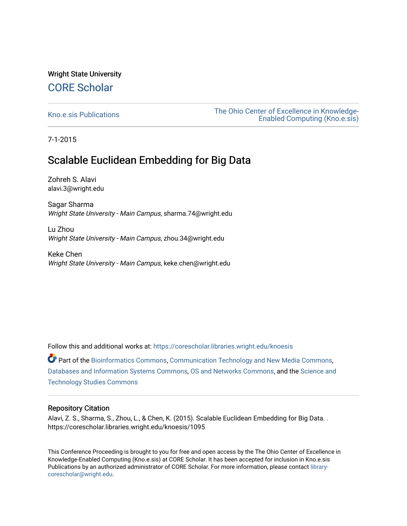# Wright State University [CORE Scholar](https://corescholar.libraries.wright.edu/)

[Kno.e.sis Publications](https://corescholar.libraries.wright.edu/knoesis) [The Ohio Center of Excellence in Knowledge-](https://corescholar.libraries.wright.edu/knoesis_comm)[Enabled Computing \(Kno.e.sis\)](https://corescholar.libraries.wright.edu/knoesis_comm) 

7-1-2015

# Scalable Euclidean Embedding for Big Data

Zohreh S. Alavi alavi.3@wright.edu

Sagar Sharma Wright State University - Main Campus, sharma.74@wright.edu

Lu Zhou Wright State University - Main Campus, zhou.34@wright.edu

Keke Chen Wright State University - Main Campus, keke.chen@wright.edu

Follow this and additional works at: [https://corescholar.libraries.wright.edu/knoesis](https://corescholar.libraries.wright.edu/knoesis?utm_source=corescholar.libraries.wright.edu%2Fknoesis%2F1095&utm_medium=PDF&utm_campaign=PDFCoverPages) 

Part of the [Bioinformatics Commons,](http://network.bepress.com/hgg/discipline/110?utm_source=corescholar.libraries.wright.edu%2Fknoesis%2F1095&utm_medium=PDF&utm_campaign=PDFCoverPages) [Communication Technology and New Media Commons,](http://network.bepress.com/hgg/discipline/327?utm_source=corescholar.libraries.wright.edu%2Fknoesis%2F1095&utm_medium=PDF&utm_campaign=PDFCoverPages) [Databases and Information Systems Commons](http://network.bepress.com/hgg/discipline/145?utm_source=corescholar.libraries.wright.edu%2Fknoesis%2F1095&utm_medium=PDF&utm_campaign=PDFCoverPages), [OS and Networks Commons](http://network.bepress.com/hgg/discipline/149?utm_source=corescholar.libraries.wright.edu%2Fknoesis%2F1095&utm_medium=PDF&utm_campaign=PDFCoverPages), and the [Science and](http://network.bepress.com/hgg/discipline/435?utm_source=corescholar.libraries.wright.edu%2Fknoesis%2F1095&utm_medium=PDF&utm_campaign=PDFCoverPages) [Technology Studies Commons](http://network.bepress.com/hgg/discipline/435?utm_source=corescholar.libraries.wright.edu%2Fknoesis%2F1095&utm_medium=PDF&utm_campaign=PDFCoverPages) 

# Repository Citation

Alavi, Z. S., Sharma, S., Zhou, L., & Chen, K. (2015). Scalable Euclidean Embedding for Big Data. . https://corescholar.libraries.wright.edu/knoesis/1095

This Conference Proceeding is brought to you for free and open access by the The Ohio Center of Excellence in Knowledge-Enabled Computing (Kno.e.sis) at CORE Scholar. It has been accepted for inclusion in Kno.e.sis Publications by an authorized administrator of CORE Scholar. For more information, please contact [library](mailto:library-corescholar@wright.edu)[corescholar@wright.edu](mailto:library-corescholar@wright.edu).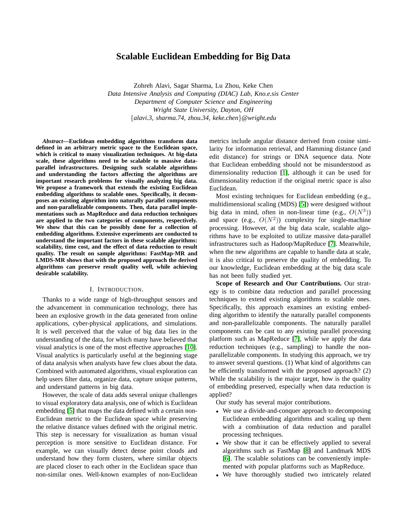# **Scalable Euclidean Embedding for Big Data**

Zohreh Alavi, Sagar Sharma, Lu Zhou, Keke Chen *Data Intensive Analysis and Computing (DIAC) Lab, Kno.e.sis Center Department of Computer Science and Engineering Wright State University, Dayton, OH* {*alavi.3, sharma.74, zhou.34, keke.chen*}*@wright.edu*

*Abstract***—Euclidean embedding algorithms transform data defined in an arbitrary metric space to the Euclidean space, which is critical to many visualization techniques. At big-data scale, these algorithms need to be scalable to massive dataparallel infrastructures. Designing such scalable algorithms and understanding the factors affecting the algorithms are important research problems for visually analyzing big data. We propose a framework that extends the existing Euclidean embedding algorithms to scalable ones. Specifically, it decomposes an existing algorithm into naturally parallel components and non-parallelizable components. Then, data parallel implementations such as MapReduce and data reduction techniques are applied to the two categories of components, respectively. We show that this can be possibly done for a collection of embedding algorithms. Extensive experiments are conducted to understand the important factors in these scalable algorithms: scalability, time cost, and the effect of data reduction to result quality. The result on sample algorithms: FastMap-MR and LMDS-MR shows that with the proposed approach the derived algorithms can preserve result quality well, while achieving desirable scalability.**

#### I. INTRODUCTION.

Thanks to a wide range of high-throughput sensors and the advancement in communication technology, there has been an explosive growth in the data generated from online applications, cyber-physical applications, and simulations. It is well perceived that the value of big data lies in the understanding of the data, for which many have believed that visual analytics is one of the most effective approaches [\[10\]](#page-8-0). Visual analytics is particularly useful at the beginning stage of data analysis when analysts have few clues about the data. Combined with automated algorithms, visual exploration can help users filter data, organize data, capture unique patterns, and understand patterns in big data.

However, the scale of data adds several unique challenges to visual exploratory data analysis, one of which is Euclidean embedding [\[5\]](#page-8-1) that maps the data defined with a certain non-Euclidean metric to the Euclidean space while preserving the relative distance values defined with the original metric. This step is necessary for visualization as human visual perception is more sensitive to Euclidean distance. For example, we can visually detect dense point clouds and understand how they form clusters, where similar objects are placed closer to each other in the Euclidean space than non-similar ones. Well-known examples of non-Euclidean metrics include angular distance derived from cosine similarity for information retrieval, and Hamming distance (and edit distance) for strings or DNA sequence data. Note that Euclidean embedding should not be misunderstood as dimensionality reduction [\[1\]](#page-8-2), although it can be used for dimensionality reduction if the original metric space is also Euclidean.

Most existing techniques for Euclidean embedding (e.g., multidimensional scaling (MDS) [\[5\]](#page-8-1)) were designed without big data in mind, often in non-linear time (e.g.,  $O(N^3)$ ) and space (e.g.,  $O(N^2)$ ) complexity for single-machine processing. However, at the big data scale, scalable algorithms have to be exploited to utilize massive data-parallel infrastructures such as Hadoop/MapReduce [\[7\]](#page-8-3). Meanwhile, when the new algorithms are capable to handle data at scale, it is also critical to preserve the quality of embedding. To our knowledge, Euclidean embedding at the big data scale has not been fully studied yet.

**Scope of Research and Our Contributions.** Our strategy is to combine data reduction and parallel processing techniques to extend existing algorithms to scalable ones. Specifically, this approach examines an existing embedding algorithm to identify the naturally parallel components and non-parallelizable components. The naturally parallel components can be cast to any existing parallel processing platform such as MapReduce [\[7\]](#page-8-3), while we apply the data reduction techniques (e.g., sampling) to handle the nonparallelizable components. In studying this approach, we try to answer several questions. (1) What kind of algorithms can be efficiently transformed with the proposed approach? (2) While the scalability is the major target, how is the quality of embedding preserved, especially when data reduction is applied?

Our study has several major contributions.

- We use a divide-and-conquer approach to decomposing Euclidean embedding algorithms and scaling up them with a combination of data reduction and parallel processing techniques.
- We show that it can be effectively applied to several algorithms such as FastMap [\[8\]](#page-8-4) and Landmark MDS [\[6\]](#page-8-5). The scalable solutions can be conveniently implemented with popular platforms such as MapReduce.
- We have thoroughly studied two intricately related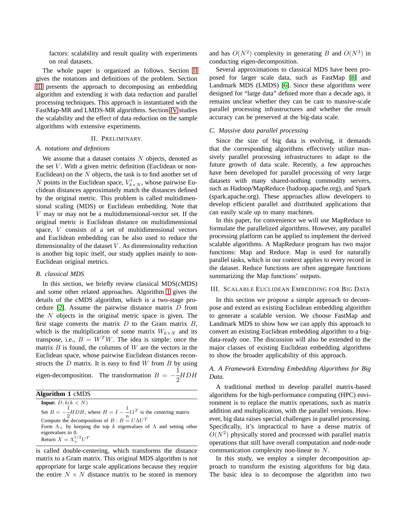factors: scalability and result quality with experiments on real datasets.

The whole paper is organized as follows. Section [II](#page-2-0) gives the notations and definitions of the problem. Section [III](#page-2-1) presents the approach to decomposing an embedding algorithm and extending it with data reduction and parallel processing techniques. This approach is instantiated with the FastMap-MR and LMDS-MR algorithms. Section [IV](#page-5-0) studies the scalability and the effect of data reduction on the sample algorithms with extensive experiments.

## II. PRELIMINARY.

#### <span id="page-2-0"></span>*A. notations and defintions*

We assume that a dataset contains  $N$  objects, denoted as the set  $V$ . With a given metric definition (Euclidean or non-Euclidean) on the  $N$  objects, the task is to find another set of N points in the Euclidean space,  $V'_{k \times N}$ , whose pairwise Euclidean distances approximately match the distances defined by the original metric. This problem is called multidimensional scaling (MDS) or Euclidean embedding. Note that V may or may not be a multidimensional-vector set. If the original metric is Euclidean distance on multidimensional space, V consists of a set of multidimensional vectors and Euclidean embedding can be also used to reduce the dimensionality of the dataset  $V$ . As dimensionality reduction is another big topic itself, our study applies mainly to non-Euclidean original metrics.

#### *B. classical MDS*

In this section, we briefly review classical MDS(cMDS) and some other related approaches. Algorithm [1](#page-2-2) gives the details of the cMDS algorithm, which is a two-stage procedure [\[2\]](#page-8-6). Assume the pairwise distance matrix D from the  $N$  objects in the original metric space is given. The first stage converts the matrix  $D$  to the Gram matrix  $B$ , which is the multiplication of some matrix  $W_{k \times N}$  and its transpose, i.e.,  $B = W<sup>T</sup>W$ . The idea is simple: once the matrix  $B$  is found, the columns of  $W$  are the vectors in the Euclidean space, whose pairwise Euclidean distances reconstructs the  $D$  matrix. It is easy to find  $W$  from  $B$  by using eigen-decomposition. The transformation  $B = -\frac{1}{2}$  $\frac{1}{2}HDH$ 

<span id="page-2-2"></span>

| <b>Algorithm 1 cMDS</b>                                                                                                                                                                                                            |
|------------------------------------------------------------------------------------------------------------------------------------------------------------------------------------------------------------------------------------|
| <b>Input:</b> $D, k(k < N)$                                                                                                                                                                                                        |
| Set $B = -\frac{1}{2} HDH$ , where $H = I - \frac{1}{n} 11^T$ is the centering matrix<br>Compute the decomposition of $B : B = U\Lambda U^T$<br>Form $\Lambda_{+}$ by keeping the top k eigenvalues of $\Lambda$ and setting other |
| eigenvalues to 0.<br>Return $X = \Lambda_+^{1/2} U^T$                                                                                                                                                                              |

is called double-centering, which transforms the distance matrix to a Gram matrix. This original MDS algorithm is not appropriate for large scale applications because they require the entire  $N \times N$  distance matrix to be stored in memory

and has  $O(N^2)$  complexity in generating B and  $O(N^3)$  in conducting eigen-decomposition.

Several approximations to classical MDS have been proposed for larger scale data, such as FastMap [\[8\]](#page-8-4) and Landmark MDS (LMDS) [\[6\]](#page-8-5). Since these algorithms were designed for "large data" defined more than a decade ago, it remains unclear whether they can be cast to massive-scale parallel processing infrastructures and whether the result accuracy can be preserved at the big-data scale.

## *C. Massive data parallel processing*

Since the size of big data is evolving, it demands that the corresponding algorithms effectively utilize massively parallel processing infrastructures to adapt to the future growth of data scale. Recently, a few approaches have been developed for parallel processing of very large datasets with many shared-nothing commodity servers, such as Hadoop/MapReduce (hadoop.apache.org), and Spark (spark.apache.org). These approaches allow developers to develop efficient parallel and distributed applications that can easily scale up to many machines.

In this paper, for convenience we will use MapReduce to formulate the parallelized algorithms. However, any parallel processing platform can be applied to implement the derived scalable algorithms. A MapReduce program has two major functions: Map and Reduce. Map is used for naturally parallel tasks, which in our context applies to every record in the dataset. Reduce functions are often aggregate functions summarizing the Map functions' outputs.

#### <span id="page-2-1"></span>III. SCALABLE EUCLIDEAN EMBEDDING FOR BIG DATA

In this section we propose a simple approach to decompose and extend an existing Euclidean embedding algorithm to generate a scalable version. We choose FastMap and Landmark MDS to show how we can apply this approach to convert an existing Euclidean embedding algorithm to a bigdata-ready one. The discussion will also be extended to the major classes of existing Euclidean embedding algorithms to show the broader applicability of this approach.

## *A. A Framework Extending Embedding Algorithms for Big Data.*

A traditional method to develop parallel matrix-based algorithms for the high-performance computing (HPC) environment is to replace the matrix operations, such as matrix addition and multiplication, with the parallel versions. However, big data raises special challenges in parallel processing. Specifically, it's impractical to have a dense matrix of  $O(N^2)$  physically stored and processed with parallel matrix operations that still have overall computation and node-node communication complexity non-linear to N.

In this study, we employ a simpler decomposition approach to transform the existing algorithms for big data. The basic idea is to decompose the algorithm into two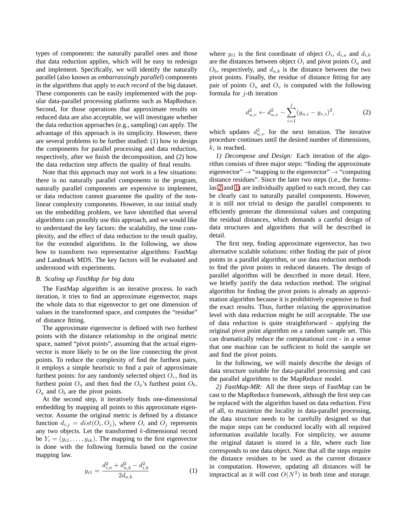types of components: the naturally parallel ones and those that data reduction applies, which will be easy to redesign and implement. Specifically, we will identify the naturally parallel (also known as *embarrassingly parallel*) components in the algorithms that apply to *each record* of the big dataset. These components can be easily implemented with the popular data-parallel processing platforms such as MapReduce. Second, for those operations that approximate results on reduced data are also acceptable, we will investigate whether the data reduction approaches (e.g., sampling) can apply. The advantage of this approach is its simplicity. However, there are several problems to be further studied: (1) how to design the components for parallel processing and data reduction, respectively, after we finish the decomposition, and (2) how the data reduction step affects the quality of final results.

Note that this approach may not work in a few situations: there is no naturally parallel components in the program, naturally parallel components are expensive to implement, or data reduction cannot guarantee the quality of the nonlinear complexity components. However, in our initial study on the embedding problem, we have identified that several algorithms can possibly use this approach, and we would like to understand the key factors: the scalability, the time complexity, and the effect of data reduction to the result quality, for the extended algorithms. In the following, we show how to transform two representative algorithms: FastMap and Landmark MDS. The key factors will be evaluated and understood with experiments.

## *B. Scaling up FastMap for big data*

The FastMap algorithm is an iterative process. In each iteration, it tries to find an approximate eigenvector, maps the whole data to that eigenvector to get one dimension of values in the transformed space, and computes the "residue" of distance fitting.

The approximate eigenvector is defined with two furthest points with the distance relationship in the original metric space, named "pivot points", assuming that the actual eigenvector is more likely to be on the line connecting the pivot points. To reduce the complexity of find the furthest pairs, it employs a simple heuristic to find a pair of approximate furthest points: for any randomly selected object  $O_r$ , find its furthest point  $O_a$  and then find the  $O_a$ 's furthest point  $O_b$ .  $O_a$  and  $O_b$  are the pivot points.

At the second step, it iteratively finds one-dimensional embedding by mapping all points to this approximate eigenvector. Assume the original metric is defined by a distance function  $d_{i,j} = dist(O_i, O_j)$ , where  $O_i$  and  $O_j$  represents any two objects. Let the transformed k-dimensional record be  $Y_i = (y_{i1}, \ldots, y_{ik})$ . The mapping to the first eigenvector is done with the following formula based on the cosine mapping law.

<span id="page-3-1"></span>
$$
y_{i1} = \frac{d_{i,a}^2 + d_{a,b}^2 - d_{i,b}^2}{2d_{a,b}}
$$
 (1)

where  $y_{i1}$  is the first coordinate of object  $O_i$ ,  $d_{i,a}$  and  $d_{i,b}$ are the distances between object  $O_i$  and pivot points  $O_a$  and  $O_b$ , respectively, and  $d_{a,b}$  is the distance between the two pivot points. Finally, the residue of distance fitting for any pair of points  $O_u$  and  $O_v$  is computed with the following formula for  $j$ -th iteration

<span id="page-3-0"></span>
$$
d_{u,v}^2 \leftarrow d_{u,v}^2 - \sum_{i=1}^j (y_{u,i} - y_{v,i})^2,
$$
 (2)

which updates  $d_{u,v}^2$  for the next iteration. The iterative procedure continues until the desired number of dimensions, k, is reached.

*1) Decompose and Design:* Each iteration of the algorithm consists of three major steps: "finding the approximate eigenvector"  $\rightarrow$  "mapping to the eigenvector"  $\rightarrow$  "computing" distance residues". Since the later two steps (i.e., the formulas [2](#page-3-0) and [1\)](#page-3-1) are individually applied to each record, they can be clearly cast to naturally parallel components. However, it is still not trivial to design the parallel components to efficiently generate the dimensional values and computing the residual distances, which demands a careful design of data structures and algorithms that will be described in detail.

The first step, finding approximate eigenvector, has two alternative scalable solutions: either finding the pair of pivot points in a parallel algorithm, or use data reduction methods to find the pivot points in reduced datasets. The design of parallel algorithm will be described in more detail. Here, we briefly justify the data reduction method. The original algorithm for finding the pivot points is already an approximation algorithm because it is prohibitively expensive to find the exact results. Thus, further relaxing the approximation level with data reduction might be still acceptable. The use of data reduction is quite straightforward - applying the original pivot point algorithm on a random sample set. This can dramatically reduce the computational cost - in a sense that one machine can be sufficient to hold the sample set and find the pivot points.

In the following, we will mainly describe the design of data structure suitable for data-parallel processing and cast the parallel algorithms to the MapReduce model.

*2) FastMap-MR:* All the three steps of FastMap can be cast to the MapReduce framework, although the first step can be replaced with the algorithm based on data reduction. First of all, to maximize the locality in data-parallel processing, the data structure needs to be carefully designed so that the major steps can be conducted locally with all required information available locally. For simplicity, we assume the original dataset is stored in a file, where each line corresponds to one data object. Note that all the steps require the distance residues to be used as the current distance in computation. However, updating all distances will be impractical as it will cost  $O(N^2)$  in both time and storage.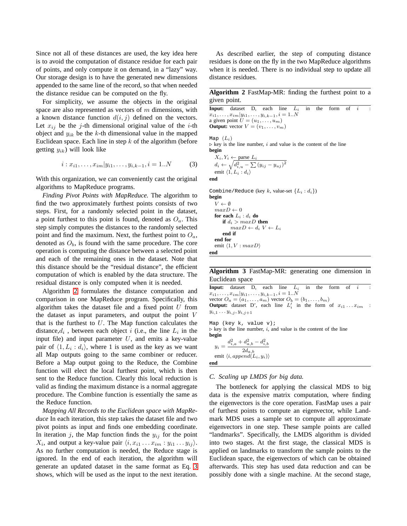Since not all of these distances are used, the key idea here is to avoid the computation of distance residue for each pair of points, and only compute it on demand, in a "lazy" way. Our storage design is to have the generated new dimensions appended to the same line of the record, so that when needed the distance residue can be computed on the fly.

For simplicity, we assume the objects in the original space are also represented as vectors of  $m$  dimensions, with a known distance function  $d(i, j)$  defined on the vectors. Let  $x_{ij}$  be the j-th dimensional original value of the *i*-th object and  $y_{ik}$  be the k-th dimensional value in the mapped Euclidean space. Each line in step  $k$  of the algorithm (before getting  $y_{ik}$ ) will look like

<span id="page-4-1"></span>
$$
i: x_{i1}, \dots, x_{im} | y_{i1}, \dots, y_{i,k-1}, i = 1..N
$$
 (3)

With this organization, we can conveniently cast the original algorithms to MapReduce programs.

*Finding Pivot Points with MapReduce.* The algorithm to find the two approximately furthest points consists of two steps. First, for a randomly selected point in the dataset, a point furthest to this point is found, denoted as  $O_a$ . This step simply computes the distances to the randomly selected point and find the maximum. Next, the furthest point to  $O_a$ , denoted as  $O<sub>b</sub>$ , is found with the same procedure. The core operation is computing the distance between a selected point and each of the remaining ones in the dataset. Note that this distance should be the "residual distance", the efficient computation of which is enabled by the data structure. The residual distance is only computed when it is needed.

Algorithm [2](#page-4-0) formulates the distance computation and comparison in one MapReduce program. Specifically, this algorithm takes the dataset file and a fixed point  $U$  from the dataset as input parameters, and output the point V that is the furthest to  $U$ . The Map function calculates the distance,  $d_i$ , between each object i (i.e., the line  $L_i$  in the input file) and input parameter  $U$ , and emits a key-value pair of  $\langle 1, L_i : d_i \rangle$ , where 1 is used as the key as we want all Map outputs going to the same combiner or reducer. Before a Map output going to the Reduce, the Combine function will elect the local furthest point, which is then sent to the Reduce function. Clearly this local reduction is valid as finding the maximum distance is a normal aggregate procedure. The Combine function is essentially the same as the Reduce function.

*Mapping All Records to the Euclidean space with MapReduce* In each iteration, this step takes the dataset file and two pivot points as input and finds one embedding coordinate. In iteration j, the Map function finds the  $y_{ij}$  for the point  $X_i$ , and output a key-value pair  $\langle i, x_{i1} \dots x_{im} : y_{i1} \dots y_{ij} \rangle$ . As no further computation is needed, the Reduce stage is ignored. In the end of each iteration, the algorithm will generate an updated dataset in the same format as Eq. [3](#page-4-1) shows, which will be used as the input to the next iteration.

As described earlier, the step of computing distance residues is done on the fly in the two MapReduce algorithms when it is needed. There is no individual step to update all distance residues.

<span id="page-4-0"></span>**Algorithm 2** FastMap-MR: finding the furthest point to a given point.

**Input:** dataset  $D$ , each line  $L_i$  in the form of  $i$  :  $x_{i1}, \ldots, x_{im}|y_{i1}, \ldots, y_{i,k-1}, i = 1..N$ a given point  $U = (u_1, \ldots, u_m)$ **Output:** vector  $V = (v_1, \ldots, v_m)$ Map  $(L_i)$  $\triangleright$  key is the line number, i and value is the content of the line **begin**  $X_i, Y_i \leftarrow \text{parse } L_i$  $d_i \leftarrow \sqrt{d_{i,u}^2 - \sum{(y_{ij} - y_{uj})}^2}$ emit  $\langle 1, L_i : d_i \rangle$ **end** Combine/Reduce (key k, value-set  $\{L_i : d_i\}$ ) **begin**  $V \leftarrow \emptyset$  $maxD \leftarrow 0$ for each  $L_i : d_i$  do  $\mathbf{if}~d_i > maxD$  then  $maxD \leftarrow d_i V \leftarrow L_i$ **end if end for** emit  $\langle 1, V : maxD \rangle$ 

**end**

## **Algorithm 3** FastMap-MR: generating one dimension in Euclidean space

**Input:** dataset D, each line  $L_i$  in the form of  $i$  $x_{i1}, \ldots, x_{im}|y_{i1}, \ldots, y_{i,k-1}, i = 1..N$ vector  $O_a = (a_1, \ldots, a_m)$  vector  $O_b = (b_1, \ldots, b_m)$ **Output:** dataset D', each line  $L'_i$  in the form of  $x_{i1} \ldots x_{im}$  :  $y_{i,1} \ldots y_{i,j}, y_{i,j+1}$ Map (key k, value v);

 $\triangleright$  key is the line number, *i*, and value is the content of the line **begin**

$$
y_i = \frac{d_{i,a}^2 + d_{a,b}^2 - d_{i,b}^2}{2d_{a,b}}
$$
emit  $\langle i, append(L_i,y_i) \rangle$ end

## *C. Scaling up LMDS for big data.*

The bottleneck for applying the classical MDS to big data is the expensive matrix computation, where finding the eigenvectors is the core operation. FastMap uses a pair of furthest points to compute an eigenvector, while Landmark MDS uses a sample set to compute all approximate eigenvectors in one step. These sample points are called "landmarks". Specifically, the LMDS algorithm is divided into two stages. At the first stage, the classical MDS is applied on landmarks to transform the sample points to the Euclidean space, the eigenvectors of which can be obtained afterwards. This step has used data reduction and can be possibly done with a single machine. At the second stage,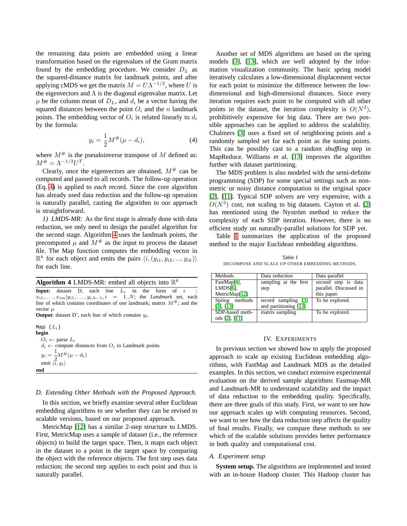the remaining data points are embedded using a linear transformation based on the eigenvalues of the Gram matrix found by the embedding procedure. We consider  $D<sub>L</sub>$  as the squared-distance matrix for landmark points, and after applying cMDS we get the matrix  $M = U\Lambda^{-1/2}$ , where U is the eigenvectors and  $\Lambda$  is the diagonal eigenvalue matrix. Let  $\mu$  be the column mean of  $D_L$ , and  $d_i$  be a vector having the squared distances between the point  $O_i$  and the n landmark points. The embedding vector of  $O_i$  is related linearly to  $d_i$ by the formula:

<span id="page-5-1"></span>
$$
y_i = \frac{1}{2}M^{\#}(\mu - d_i),
$$
\n(4)

where  $M^{\#}$  is the pseudoinverse transpose of M defined as:  $M^{\#} = \Lambda^{-1/2} U^{T}.$ 

Clearly, once the eigenvectors are obtained,  $M^{\#}$  can be computed and passed to all records. The follow-up operation (Eq. [4\)](#page-5-1) is applied to *each* record. Since the core algorithm has already used data reduction and the follow-up operation is naturally parallel, casting the algorithm to our approach is straightforward.

*1) LMDS-MR:* As the first stage is already done with data reduction, we only need to design the parallel algorithm for the second stage. Algorithm [4](#page-5-2) uses the landmark points, the precomputed  $\mu$  and  $M^{\#}$  as the input to process the dataset file. The Map function computes the embedding vector in  $\mathbb{R}^k$  for each object and emits the pairs  $\langle i,(y_{i1}, y_{i2},..., y_{ik})\rangle$ for each line.

<span id="page-5-2"></span>

| <b>Algorithm 4 LMDS-MR:</b> embed all objects into $\mathbb{R}^k$ |                                                                                                                                                                                                                                                 |  |  |  |  |  |  |  |  |  |
|-------------------------------------------------------------------|-------------------------------------------------------------------------------------------------------------------------------------------------------------------------------------------------------------------------------------------------|--|--|--|--|--|--|--|--|--|
|                                                                   | <b>Input:</b> dataset D, each line $L_i$ in the form of i :                                                                                                                                                                                     |  |  |  |  |  |  |  |  |  |
| vector $\mu$                                                      | $x_{i1}, \ldots, x_{im}   y_{i1}, \ldots, y_{i,k-1}, i = 1N$ ; the <i>Landmark</i> set, each<br>line of which contains coordinates of one landmark; matrix $M^{\#}$ ; and the<br><b>Output:</b> dataset D', each line of which contains $y_i$ . |  |  |  |  |  |  |  |  |  |

Map  $(L_i)$ **begin**  $O_i \leftarrow \text{parse } L_i$  $d_i \leftarrow$  compute distances from  $O_i$  to Landmark points  $y_i = \frac{1}{2}M^{\#}(\mu - d_i)$ emit  $\langle \hat{i}, y_i \rangle$ **end**

#### *D. Extending Other Methods with the Proposed Approach.*

In this section, we briefly examine several other Euclidean embedding algorithms to see whether they can be revised to scalable versions, based on our proposed approach.

MetricMap [\[12\]](#page-8-7) has a similar 2-step structure to LMDS. First, MetricMap uses a sample of dataset (i.e., the reference objects) to build the target space. Then, it maps each object in the dataset to a point in the target space by comparing the object with the reference objects. The first step uses data reduction; the second step applies to each point and thus is naturally parallel.

Another set of MDS algorithms are based on the spring models [\[3\]](#page-8-8), [\[13\]](#page-8-9), which are well adopted by the information visualization community. The basic spring model iteratively calculates a low-dimensional displacement vector for each point to minimize the difference between the lowdimensional and high-dimensional distances. Since every iteration requires each point to be computed with all other points in the dataset, the iteration complexity is  $O(N^2)$ , prohibitively expensive for big data. There are two possible approaches can be applied to address the scalability. Chalmers [\[3\]](#page-8-8) uses a fixed set of neighboring points and a randomly sampled set for each point as the tuning points. This can be possibly cast to a random *shuffling* step in MapReduce. Williams et al. [\[13\]](#page-8-9) improves the algorithm further with dataset partitioning.

The MDS problem is also modeled with the semi-definite programming (SDP) for some special settings such as nonmetric or noisy distance computation in the original space [\[2\]](#page-8-6), [\[11\]](#page-8-10). Typical SDP solvers are very expensive, with a  $O(N^3)$  cost, not scaling to big datasets. Cayton et al. [\[2\]](#page-8-6) has mentioned using the Nyström method to reduce the complexity of each SDP iteration. However, there is no efficient study on naturally-parallel solutions for SDP yet.

Table [I](#page-5-3) summarizes the application of the proposed method to the major Euclidean embedding algorithms.

Table I DECOMPOSE AND SCALE UP OTHER EMBEDDING METHODS.

<span id="page-5-3"></span>

| Methods         | Data reduction        | Data parallel          |
|-----------------|-----------------------|------------------------|
| FastMap[8],     | sampling at the first | second step is data    |
| $LMDS[6]$ ,     | step                  | parallel. Discussed in |
| MetricMap[12]   |                       | this paper.            |
| Spring methods  | record sampling [3]   | To be explored.        |
| $[3]$ , $[13]$  | and partitioning [13] |                        |
| SDP-based meth- | matrix sampling       | To be explored.        |
| ods [2], [11]   |                       |                        |

#### IV. EXPERIMENTS

<span id="page-5-0"></span>In previous section we showed how to apply the proposed approach to scale up existing Euclidean embedding algorithms, with FastMap and Landmark MDS as the detailed examples. In this section, we conduct extensive experimental evaluation on the derived sample algorithms Fastmap-MR and Landmark-MR to understand scalability and the impact of data reduction to the embedding quality. Specifically, there are three goals of this study. First, we want to see how our approach scales up with computing resources. Second, we want to see how the data reduction step affects the quality of final results. Finally, we compare these methods to see which of the scalable solutions provides better performance in both quality and computational cost.

#### *A. Experiment setup*

**System setup.** The algorithms are implemented and tested with an in-house Hadoop cluster. This Hadoop cluster has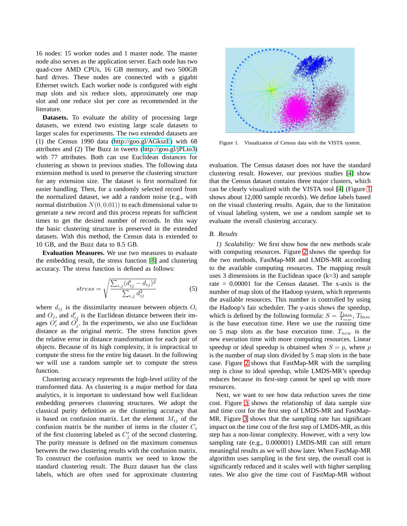16 nodes: 15 worker nodes and 1 master node. The master node also serves as the application server. Each node has two quad-core AMD CPUs, 16 GB memory, and two 500GB hard drives. These nodes are connected with a gigabit Ethernet switch. Each worker node is configured with eight map slots and six reduce slots, approximately one map slot and one reduce slot per core as recommended in the literature.

**Datasets.** To evaluate the ability of processing large datasets, we extend two existing large scale datasets to larger scales for experiments. The two extended datasets are (1) the Census 1990 data [\(http://goo.gl/AGkszE\)](http://goo.gl/AGkszE) with 68 attributes and (2) The Buzz in tweets [\(http://goo.gl/jPLto3\)](http://goo.gl/jPLto3) with 77 attributes. Both can use Euclidean distances for clustering as shown in previous studies. The following data extension method is used to preserve the clustering structure for any extension size. The dataset is first normalized for easier handling. Then, for a randomly selected record from the normalized dataset, we add a random noise (e.g., with normal distribution  $N(0, 0.01)$  to each dimensional value to generate a new record and this process repeats for sufficient times to get the desired number of records. In this way the basic clustering structure is preserved in the extended datasets. With this method, the Census data is extended to 10 GB, and the Buzz data to 8.5 GB.

**Evaluation Measures.** We use two measures to evaluate the embedding result, the stress function [\[8\]](#page-8-4) and clustering accuracy. The stress function is defined as follows:

$$
stress = \sqrt{\frac{\sum_{i,j} (d'_{ij} - d_{ij})^2}{\sum_{i,j} d_{ij}^2}}
$$
 (5)

where  $d_{ij}$  is the dissimilarity measure between objects  $O_i$ and  $O_j$ , and  $d'_{ij}$  is the Euclidean distance between their images  $O'_i$  and  $O'_j$ . In the experiments, we also use Euclidean distance as the original metric. The stress function gives the relative error in distance transformation for each pair of objects. Because of its high complexity, it is impractical to compute the stress for the entire big dataset. In the following we will use a random sample set to compute the stress function.

Clustering accuracy represents the high-level utility of the transformed data. As clustering is a major method for data analytics, it is important to understand how well Euclidean embedding preserves clustering structures. We adopt the classical purity definition as the clustering accuracy that is based on confusion matrix. Let the element  $M_{ij}$  of the confusion matrix be the number of items in the cluster  $C_i$ of the first clustering labeled as  $C_j'$  of the second clustering. The purity measure is defined on the maximum consensus between the two clustering results with the confusion matrix. To construct the confusion matrix we need to know the standard clustering result. The Buzz dataset has the class labels, which are often used for approximate clustering



<span id="page-6-0"></span>Figure 1. Visualization of Census data with the VISTA system.

evaluation. The Census dataset does not have the standard clustering result. However, our previous studies [\[4\]](#page-8-11) show that the Census dataset contains three major clusters, which can be clearly visualized with the VISTA tool [\[4\]](#page-8-11) (Figure [1](#page-6-0) shows about 12,000 sample records). We define labels based on the visual clustering results. Again, due to the limitation of visual labeling system, we use a random sample set to evaluate the overall clustering accuracy.

## *B. Results*

*1) Scalability:* We first show how the new methods scale with computing resources. Figure [2](#page-7-0) shows the speedup for the two methods, FastMap-MR and LMDS-MR according to the available computing resources. The mapping result uses 3 dimensions in the Euclidean space  $(k=3)$  and sample rate  $= 0.00001$  for the Census dataset. The x-axis is the number of map slots of the Hadoop system, which represents the available resources. This number is controlled by using the Hadoop's fair scheduler. The y-axis shows the speedup, which is defined by the following formula:  $S = \frac{T_{base}}{T_{new}}$ ,  $T_{base}$ is the base execution time. Here we use the running time on 5 map slots as the base execution time.  $T_{new}$  is the new execution time with more computing resources. Linear speedup or ideal speedup is obtained when  $S = p$ , where p is the number of map slots divided by 5 map slots in the base case. Figure [2](#page-7-0) shows that FastMap-MR with the sampling step is close to ideal speedup, while LMDS-MR's speedup reduces because its first-step cannot be sped up with more resources.

Next, we want to see how data reduction saves the time cost. Figure [3](#page-7-1) shows the relationship of data sample size and time cost for the first step of LMDS-MR and FastMap-MR. Figure [3](#page-7-1) shows that the sampling rate has significant impact on the time cost of the first step of LMDS-MR, as this step has a non-linear complexity. However, with a very low sampling rate (e.g., 0.000001) LMDS-MR can still return meaningful results as we will show later. When FastMap-MR algorithm uses sampling in the first step, the overall cost is significantly reduced and it scales well with higher sampling rates. We also give the time cost of FastMap-MR without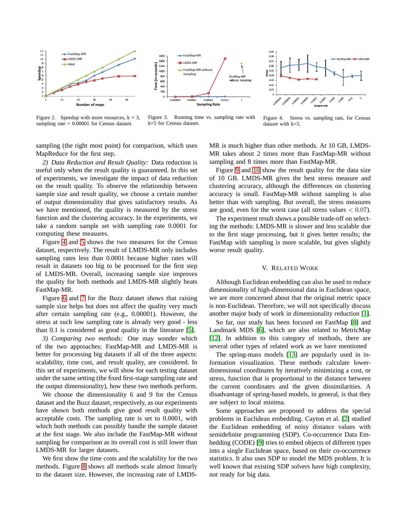

<span id="page-7-0"></span>Figure 2. Speedup with more resources,  $k = 3$ , sampling rate = 0.00001 for Census dataset.



<span id="page-7-1"></span>Figure 3. Running time vs. sampling rate with k=5 for Census dataset.



<span id="page-7-2"></span>Figure 4. Stress vs. sampling rate, for Census dataset with k=5.

sampling (the right most point) for comparison, which uses MapReduce for the first step.

*2) Data Reduction and Result Quality:* Data reduction is useful only when the result quality is guaranteed. In this set of experiments, we investigate the impact of data reduction on the result quality. To observe the relationship between sample size and result quality, we choose a certain number of output dimensionality that gives satisfactory results. As we have mentioned, the quality is measured by the stress function and the clustering accuracy. In the experiments, we take a random sample set with sampling rate 0.0001 for computing these measures.

Figure [4](#page-7-2) and [5](#page-8-12) shows the two measures for the Census dataset, respectively. The result of LMDS-MR only includes sampling rates less than 0.0001 because higher rates will result in datasets too big to be processed for the first step of LMDS-MR. Overall, increasing sample size improves the quality for both methods and LMDS-MR slightly beats FastMap-MR.

Figure [6](#page-8-13) and [7](#page-8-14) for the Buzz dataset shows that raising sample size helps but does not affect the quality very much after certain sampling rate (e.g., 0.00001). However, the stress at such low sampling rate is already very good - less than 0.1 is considered as good quality in the literature [\[5\]](#page-8-1).

*3) Comparing two methods:* One may wonder which of the two approaches: FastMap-MR and LMDS-MR is better for processing big datasets if all of the three aspects: scalability, time cost, and result quality, are considered. In this set of experiments, we will show for each testing dataset under the same setting (the fixed first-stage sampling rate and the output dimensionality), how these two methods perform.

We choose the dimensionality 6 and 9 for the Census dataset and the Buzz dataset, respectively, as our experiments have shown both methods give good result quality with acceptable costs. The sampling rate is set to 0.0001, with which both methods can possibly handle the sample dataset at the first stage. We also include the FastMap-MR without sampling for comparison as its overall cost is still lower than LMDS-MR for larger datasets.

We first show the time costs and the scalability for the two methods. Figure [8](#page-8-15) shows all methods scale almost linearly to the dataset size. However, the increasing rate of LMDS- MR is much higher than other methods. At 10 GB, LMDS-MR takes about 2 times more than FastMap-MR without sampling and 8 times more than FastMap-MR.

Figure [9](#page-8-16) and [10](#page-8-17) show the result quality for the data size of 10 GB. LMDS-MR gives the best stress measure and clustering accuracy, although the differences on clustering accuracy is small. FastMap-MR without sampling is also better than with sampling. But overall, the stress measures are good, even for the worst case (all stress values  $< 0.07$ ).

The experiment result shows a possible trade-off on selecting the methods: LMDS-MR is slower and less scalable due to the first stage processing, but it gives better results; the FastMap with sampling is more scalable, but gives slightly worse result quality.

### V. RELATED WORK

Although Euclidean embedding can also be used to reduce dimensionality of high-dimensional data in Euclidean space, we are more concerned about that the original metric space is non-Euclidean. Therefore, we will not specifically discuss another major body of work in dimensionality reduction [\[1\]](#page-8-2).

So far, our study has been focused on FastMap [\[8\]](#page-8-4) and Landmark MDS [\[6\]](#page-8-5), which are also related to MetricMap [\[12\]](#page-8-7). In addition to this category of methods, there are several other types of related work as we have mentioned

The spring-mass models [\[13\]](#page-8-9) are popularly used in information visualization. These methods calculate lowerdimensional coordinates by iteratively minimizing a cost, or stress, function that is proportional to the distance between the current coordinates and the given dissimilarities. A disadvantage of spring-based models, in general, is that they are subject to local minima.

Some approaches are proposed to address the special problems in Euclidean embedding. Cayton et al. [\[2\]](#page-8-6) studied the Euclidean embedding of noisy distance values with semidefinite programming (SDP). Co-occurrence Data Embedding (CODE) [\[9\]](#page-8-18) tries to embed objects of different types into a single Euclidean space, based on their co-occurrence statistics. It also uses SDP to model the MDS problem. It is well known that existing SDP solvers have high complexity, not ready for big data.